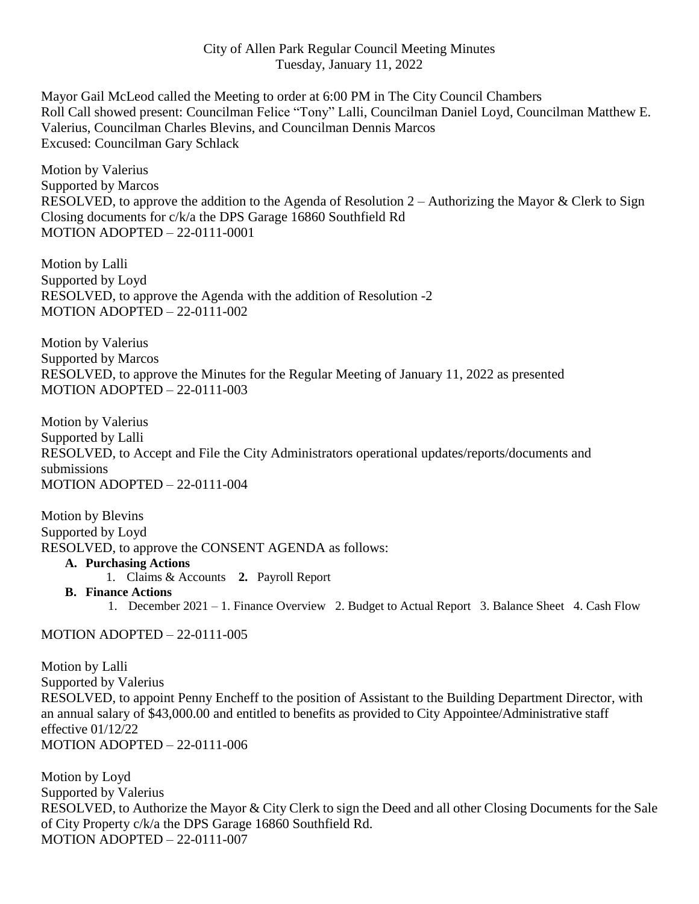## City of Allen Park Regular Council Meeting Minutes Tuesday, January 11, 2022

Mayor Gail McLeod called the Meeting to order at 6:00 PM in The City Council Chambers Roll Call showed present: Councilman Felice "Tony" Lalli, Councilman Daniel Loyd, Councilman Matthew E. Valerius, Councilman Charles Blevins, and Councilman Dennis Marcos Excused: Councilman Gary Schlack

Motion by Valerius Supported by Marcos RESOLVED, to approve the addition to the Agenda of Resolution 2 – Authorizing the Mayor & Clerk to Sign Closing documents for c/k/a the DPS Garage 16860 Southfield Rd MOTION ADOPTED – 22-0111-0001

Motion by Lalli Supported by Loyd RESOLVED, to approve the Agenda with the addition of Resolution -2 MOTION ADOPTED – 22-0111-002

Motion by Valerius Supported by Marcos RESOLVED, to approve the Minutes for the Regular Meeting of January 11, 2022 as presented MOTION ADOPTED – 22-0111-003

Motion by Valerius Supported by Lalli RESOLVED, to Accept and File the City Administrators operational updates/reports/documents and submissions MOTION ADOPTED – 22-0111-004

Motion by Blevins Supported by Loyd RESOLVED, to approve the CONSENT AGENDA as follows:

- **A. Purchasing Actions**
	- 1. Claims & Accounts **2.** Payroll Report
- **B. Finance Actions**
	- 1. December 2021 1. Finance Overview 2. Budget to Actual Report 3. Balance Sheet 4. Cash Flow

## MOTION ADOPTED – 22-0111-005

Motion by Lalli Supported by Valerius RESOLVED, to appoint Penny Encheff to the position of Assistant to the Building Department Director, with an annual salary of \$43,000.00 and entitled to benefits as provided to City Appointee/Administrative staff effective 01/12/22 MOTION ADOPTED – 22-0111-006

Motion by Loyd Supported by Valerius RESOLVED, to Authorize the Mayor & City Clerk to sign the Deed and all other Closing Documents for the Sale of City Property c/k/a the DPS Garage 16860 Southfield Rd. MOTION ADOPTED – 22-0111-007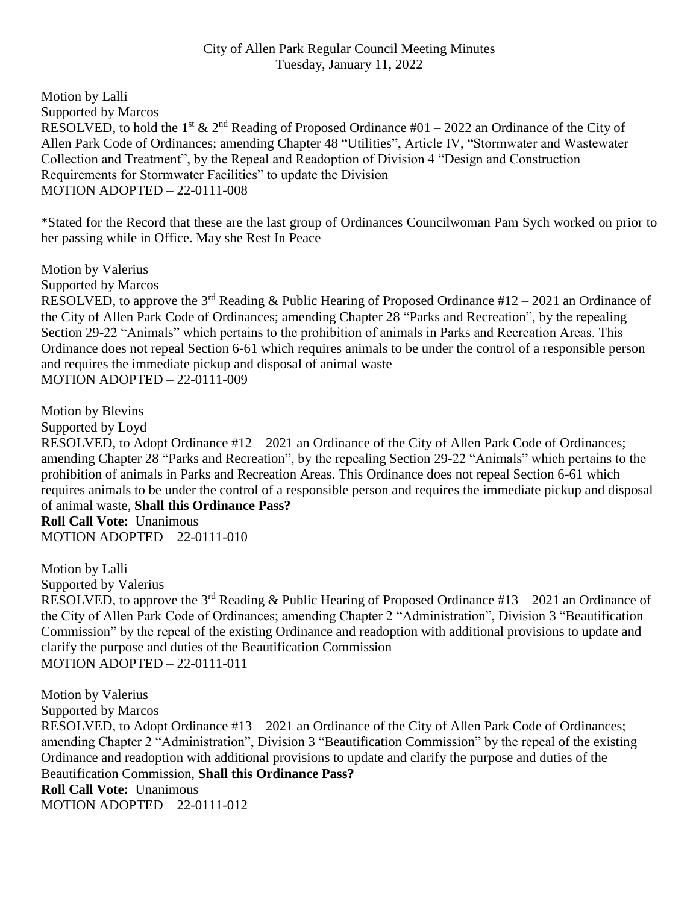Motion by Lalli Supported by Marcos RESOLVED, to hold the 1<sup>st</sup> & 2<sup>nd</sup> Reading of Proposed Ordinance #01 – 2022 an Ordinance of the City of Allen Park Code of Ordinances; amending Chapter 48 "Utilities", Article IV, "Stormwater and Wastewater Collection and Treatment", by the Repeal and Readoption of Division 4 "Design and Construction Requirements for Stormwater Facilities" to update the Division MOTION ADOPTED – 22-0111-008

\*Stated for the Record that these are the last group of Ordinances Councilwoman Pam Sych worked on prior to her passing while in Office. May she Rest In Peace

Motion by Valerius

Supported by Marcos

RESOLVED, to approve the 3<sup>rd</sup> Reading & Public Hearing of Proposed Ordinance #12 – 2021 an Ordinance of the City of Allen Park Code of Ordinances; amending Chapter 28 "Parks and Recreation", by the repealing Section 29-22 "Animals" which pertains to the prohibition of animals in Parks and Recreation Areas. This Ordinance does not repeal Section 6-61 which requires animals to be under the control of a responsible person and requires the immediate pickup and disposal of animal waste MOTION ADOPTED – 22-0111-009

Motion by Blevins

Supported by Loyd

RESOLVED, to Adopt Ordinance #12 – 2021 an Ordinance of the City of Allen Park Code of Ordinances; amending Chapter 28 "Parks and Recreation", by the repealing Section 29-22 "Animals" which pertains to the prohibition of animals in Parks and Recreation Areas. This Ordinance does not repeal Section 6-61 which requires animals to be under the control of a responsible person and requires the immediate pickup and disposal of animal waste, **Shall this Ordinance Pass?**

**Roll Call Vote:** Unanimous MOTION ADOPTED – 22-0111-010

Motion by Lalli Supported by Valerius RESOLVED, to approve the 3<sup>rd</sup> Reading & Public Hearing of Proposed Ordinance #13 – 2021 an Ordinance of the City of Allen Park Code of Ordinances; amending Chapter 2 "Administration", Division 3 "Beautification Commission" by the repeal of the existing Ordinance and readoption with additional provisions to update and clarify the purpose and duties of the Beautification Commission MOTION ADOPTED – 22-0111-011

Motion by Valerius Supported by Marcos RESOLVED, to Adopt Ordinance #13 – 2021 an Ordinance of the City of Allen Park Code of Ordinances; amending Chapter 2 "Administration", Division 3 "Beautification Commission" by the repeal of the existing Ordinance and readoption with additional provisions to update and clarify the purpose and duties of the Beautification Commission, **Shall this Ordinance Pass? Roll Call Vote:** Unanimous MOTION ADOPTED – 22-0111-012